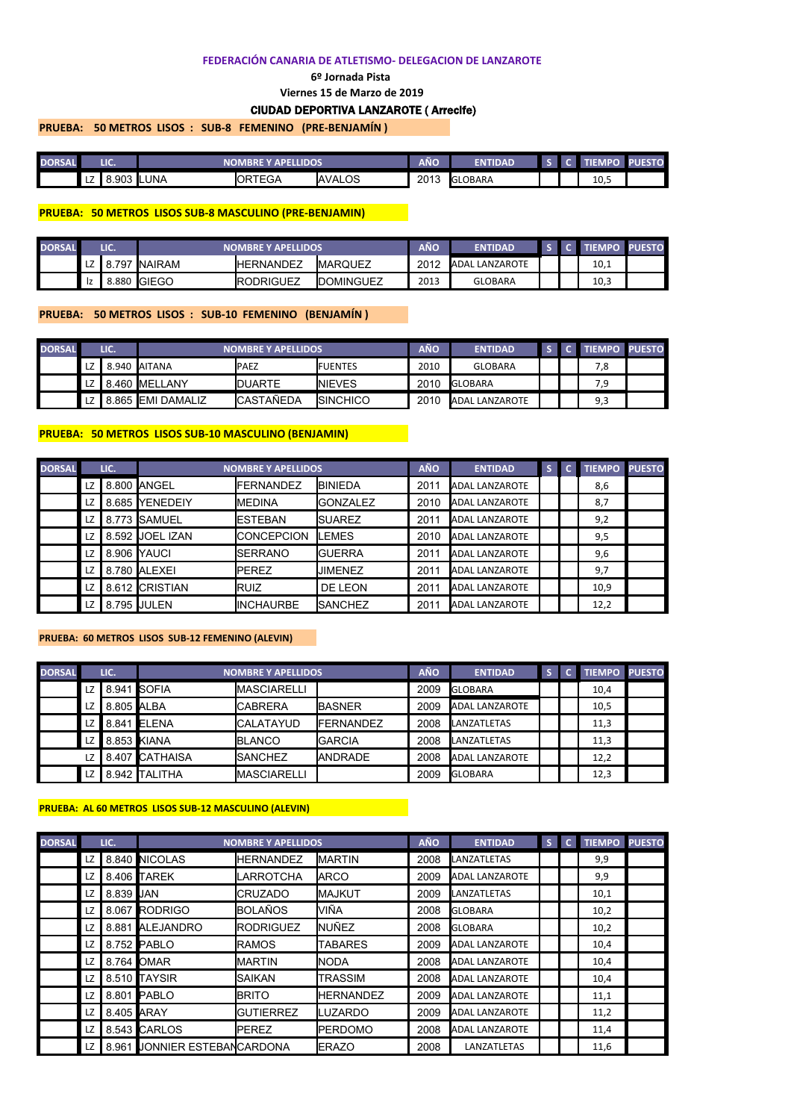#### **FEDERACIÓN CANARIA DE ATLETISMO- DELEGACION DE LANZAROTE**

#### **6º Jornada Pista**

**Viernes 15 de Marzo de 2019**

# CIUDAD DEPORTIVA LANZAROTE ( Arrecife)

**PRUEBA: 50 METROS LISOS : SUB-8 FEMENINO (PRE-BENJAMÍN )** 

| <b>DORSAL</b> |           | LIC.<br>E Y APELLIDOS<br>NOMBRE |             |                |               | AÑO  | <b>ENTIDAD</b> |  |      | <b>IFSTO.</b> |
|---------------|-----------|---------------------------------|-------------|----------------|---------------|------|----------------|--|------|---------------|
|               | . –<br>LZ | 8.903                           | <b>LUNA</b> | <b>IORTEGA</b> | <b>AVALOS</b> | 2013 | <b>GLOBARA</b> |  | 10,5 |               |

#### **PRUEBA: 50 METROS LISOS SUB-8 MASCULINO (PRE-BENJAMIN)**

| <b>DORSAL</b> |    | LIC.  |               | <b>NOMBRE Y APELLIDOS</b> |                   |      | <b>ENTIDAD</b>        |  | <b>TIFMPO</b> | <b>PUESTO</b> |
|---------------|----|-------|---------------|---------------------------|-------------------|------|-----------------------|--|---------------|---------------|
|               | LZ | 797   | <b>NAIRAM</b> | <b>IHERNANDEZ</b>         | <b>IMARQUEZ</b>   | 2012 | <b>ADAL LANZAROTE</b> |  | 10,1          |               |
|               | Ιz | 8.880 | <b>IGIEGO</b> | <b>IRODRIGUEZ</b>         | <b>IDOMINGUEZ</b> | 2013 | <b>GLOBARA</b>        |  | 10,3          |               |

## **PRUEBA: 50 METROS LISOS : SUB-10 FEMENINO (BENJAMÍN )**

| <b>DORSAL</b> |      | LIC. |                          | <b>NOMBRE Y APELLIDOS</b> |                  | AÑO  | <b>ENTIDAD</b> |  | <b>TIEMPO PUESTO</b> |  |
|---------------|------|------|--------------------------|---------------------------|------------------|------|----------------|--|----------------------|--|
|               | LZ   |      | 8.940 AITANA             | <b>PAEZ</b>               | <b>IFUENTES</b>  | 2010 | <b>GLOBARA</b> |  | 8,'                  |  |
|               | LZ I |      | 8.460 MELLANY            | <b>DUARTE</b>             | <b>INIEVES</b>   | 2010 | <b>GLOBARA</b> |  |                      |  |
|               | LZ   |      | 8.865 <b>EMI DAMALIZ</b> | <b>ICASTAÑEDA</b>         | <b>ISINCHICO</b> | 2010 | ADAL LANZAROTE |  | ∩ ≎<br>9,3           |  |

### **PRUEBA: 50 METROS LISOS SUB-10 MASCULINO (BENJAMIN)**

| <b>DORSAL</b> |    | LIC.  |                    | <b>NOMBRE Y APELLIDOS</b> |                 | <b>AÑO</b> | <b>ENTIDAD</b>        | S | <b>TIEMPO PUESTO</b> |  |
|---------------|----|-------|--------------------|---------------------------|-----------------|------------|-----------------------|---|----------------------|--|
|               | LZ |       | 8.800 ANGEL        | <b>FERNANDEZ</b>          | <b>IBINIEDA</b> | 2011       | <b>ADAL LANZAROTE</b> |   | 8,6                  |  |
|               | LZ | 8.685 | YENEDEIY           | <b>I</b> MEDINA           | <b>GONZALEZ</b> | 2010       | <b>ADAL LANZAROTE</b> |   | 8,7                  |  |
|               | LZ | 8.773 | <b>I</b> SAMUEL    | <b>ESTEBAN</b>            | <b>I</b> SUAREZ | 2011       | <b>ADAL LANZAROTE</b> |   | 9,2                  |  |
|               | LZ | 8.592 | <b>JOEL IZAN</b>   | <b>ICONCEPCION</b>        | <b>ILEMES</b>   | 2010       | <b>ADAL LANZAROTE</b> |   | 9,5                  |  |
|               | LZ | 8.906 | <b>IYAUCI</b>      | <b>SERRANO</b>            | <b>I</b> GUERRA | 2011       | <b>ADAL LANZAROTE</b> |   | 9,6                  |  |
|               | LZ | 8.780 | <b>ALEXEI</b>      | <b>PEREZ</b>              | JIMENEZ         | 2011       | <b>ADAL LANZAROTE</b> |   | 9,7                  |  |
|               | LZ |       | 8.612 CRISTIAN     | <b>I</b> RUIZ             | DE LEON         | 2011       | <b>ADAL LANZAROTE</b> |   | 10,9                 |  |
|               | LZ |       | 8.795 <b>JULEN</b> | <b>IINCHAURBE</b>         | <b>ISANCHEZ</b> | 2011       | <b>ADAL LANZAROTE</b> |   | 12,2                 |  |

#### **PRUEBA: 60 METROS LISOS SUB-12 FEMENINO (ALEVIN)**

| <b>DORSAL</b> |      | LIC.        |                | <b>NOMBRE Y APELLIDOS</b> |                   | <b>AÑO</b> | <b>ENTIDAD</b>        |  | <b>TIEMPO PUESTO</b> |  |
|---------------|------|-------------|----------------|---------------------------|-------------------|------------|-----------------------|--|----------------------|--|
|               | LZ   | 8.941 SOFIA |                | <b>MASCIARELLI</b>        |                   | 2009       | <b>GLOBARA</b>        |  | 10,4                 |  |
|               | LZ   | 8.805 ALBA  |                | <b>ICABRERA</b>           | <b>IBASNER</b>    | 2009       | <b>ADAL LANZAROTE</b> |  | 10,5                 |  |
|               | LZ I |             | 8.841 ELENA    | <b>ICALATAYUD</b>         | <b>IFERNANDEZ</b> | 2008       | LANZATLETAS           |  | 11,3                 |  |
|               | LZ I | 8.853 KIANA |                | <b>IBLANCO</b>            | <b>I</b> GARCIA   | 2008       | LANZATLETAS           |  | 11,3                 |  |
|               | LZ   |             | 8.407 CATHAISA | <b>ISANCHEZ</b>           | <b>ANDRADE</b>    | 2008       | <b>ADAL LANZAROTE</b> |  | 12,2                 |  |
|               | LZ   |             | 8.942 TALITHA  | <b>IMASCIARELLI</b>       |                   | 2009       | <b>GLOBARA</b>        |  | 12,3                 |  |

## **PRUEBA: AL 60 METROS LISOS SUB-12 MASCULINO (ALEVIN)**

| <b>DORSAL</b> |    | LIC.       |                              | <b>NOMBRE Y APELLIDOS</b> |                  | <b>AÑO</b> | <b>ENTIDAD</b>        | S | $\bullet$ | <b>TIEMPO PUESTO</b> |  |
|---------------|----|------------|------------------------------|---------------------------|------------------|------------|-----------------------|---|-----------|----------------------|--|
|               | LZ |            | 8.840 NICOLAS                | <b>HERNANDEZ</b>          | <b>IMARTIN</b>   | 2008       | LANZATLETAS           |   |           | 9,9                  |  |
|               | LZ |            | 8.406 TAREK                  | <b>LARROTCHA</b>          | <b>ARCO</b>      | 2009       | <b>ADAL LANZAROTE</b> |   |           | 9,9                  |  |
|               | LZ | 8.839 JAN  |                              | <b>ICRUZADO</b>           | <b>I</b> MAJKUT  | 2009       | LANZATLETAS           |   |           | 10,1                 |  |
|               | LZ |            | 8.067 RODRIGO                | <b>BOLAÑOS</b>            | lviña            | 2008       | <b>GLOBARA</b>        |   |           | 10,2                 |  |
|               | LZ |            | 8.881 ALEJANDRO              | <b>RODRIGUEZ</b>          | <b>INUÑEZ</b>    | 2008       | <b>GLOBARA</b>        |   |           | 10,2                 |  |
|               | LZ |            | 8.752 PABLO                  | <b>I</b> RAMOS            | <b>TABARES</b>   | 2009       | <b>ADAL LANZAROTE</b> |   |           | 10,4                 |  |
|               | LZ |            | 8.764 OMAR                   | <b>I</b> MARTIN           | <b>I</b> NODA    | 2008       | <b>ADAL LANZAROTE</b> |   |           | 10,4                 |  |
|               | LZ |            | 8.510 TAYSIR                 | <b>SAIKAN</b>             | <b>TRASSIM</b>   | 2008       | <b>ADAL LANZAROTE</b> |   |           | 10,4                 |  |
|               | LZ |            | 8.801 PABLO                  | <b>I</b> BRITO            | <b>HERNANDEZ</b> | 2009       | <b>ADAL LANZAROTE</b> |   |           | 11,1                 |  |
|               | LZ | 8.405 ARAY |                              | <b>GUTIERREZ</b>          | <b>ILUZARDO</b>  | 2009       | <b>ADAL LANZAROTE</b> |   |           | 11,2                 |  |
|               | LZ |            | 8.543 CARLOS                 | <b>I</b> PEREZ            | <b>IPERDOMO</b>  | 2008       | <b>ADAL LANZAROTE</b> |   |           | 11,4                 |  |
|               | LZ |            | 8.961 JONNIER ESTEBANCARDONA |                           | <b>IERAZO</b>    | 2008       | LANZATLETAS           |   |           | 11,6                 |  |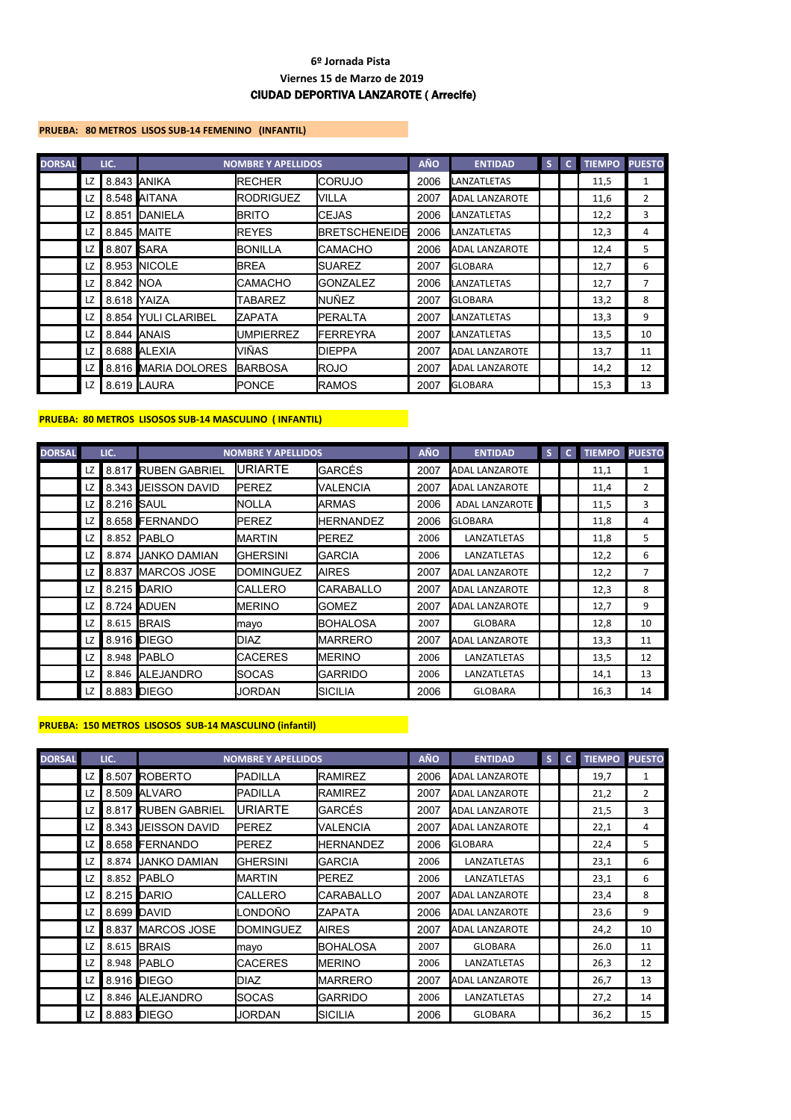## **PRUEBA: 80 METROS LISOS SUB-14 FEMENINO (INFANTIL)**

| <b>DORSAL</b> |      | LIC.        |                      | <b>NOMBRE Y APELLIDOS</b> |                       | <b>AÑO</b> | <b>ENTIDAD</b>        | S | <b>TIEMPO</b> | <b>PUESTO</b>  |
|---------------|------|-------------|----------------------|---------------------------|-----------------------|------------|-----------------------|---|---------------|----------------|
|               | LZ   | 8.843 ANIKA |                      | <b>RECHER</b>             | <b>I</b> CORUJO       | 2006       | LANZATLETAS           |   | 11,5          | 1              |
|               | LZ   |             | 8.548 AITANA         | <b>RODRIGUEZ</b>          | <b>NILLA</b>          | 2007       | <b>ADAL LANZAROTE</b> |   | 11,6          | $\overline{2}$ |
|               | LZ   |             | 8.851 DANIELA        | <b>BRITO</b>              | <b>I</b> CEJAS        | 2006       | LANZATLETAS           |   | 12,2          | 3              |
|               | LZ   |             | 8.845 MAITE          | <b>REYES</b>              | <b>IBRETSCHENEIDE</b> | 2006       | LANZATLETAS           |   | 12,3          | 4              |
|               | LZ I | 8.807 SARA  |                      | BONILLA                   | <b>ICAMACHO</b>       | 2006       | <b>ADAL LANZAROTE</b> |   | 12,4          | 5              |
|               | LZ   |             | 8.953 NICOLE         | <b>BREA</b>               | <b>ISUAREZ</b>        | 2007       | <b>GLOBARA</b>        |   | 12,7          | 6              |
|               | LZ   | 8.842 NOA   |                      | <b>CAMACHO</b>            | <b>I</b> GONZALEZ     | 2006       | LANZATLETAS           |   | 12,7          | 7              |
|               | LZ   |             | 8.618 YAIZA          | TABAREZ                   | <b>I</b> NUÑEZ        | 2007       | <b>GLOBARA</b>        |   | 13,2          | 8              |
|               | LZ   | 8.854       | <b>YULI CLARIBEL</b> | <b>ZAPATA</b>             | <b>IPERALTA</b>       | 2007       | LANZATLETAS           |   | 13,3          | 9              |
|               | LZ   |             | 8.844 ANAIS          | <b>UMPIERREZ</b>          | <b>IFERREYRA</b>      | 2007       | LANZATLETAS           |   | 13,5          | 10             |
|               | LZ   |             | 8.688 ALEXIA         | VIÑAS                     | <b>I</b> DIEPPA       | 2007       | <b>ADAL LANZAROTE</b> |   | 13,7          | 11             |
|               | LZ I |             | 8.816 MARIA DOLORES  | <b>BARBOSA</b>            | <b>I</b> ROJO         | 2007       | <b>ADAL LANZAROTE</b> |   | 14,2          | 12             |
|               | LZ   |             | 8.619 LAURA          | <b>PONCE</b>              | <b>I</b> RAMOS        | 2007       | <b>GLOBARA</b>        |   | 15,3          | 13             |

## **PRUEBA: 80 METROS LISOSOS SUB-14 MASCULINO ( INFANTIL)**

| <b>DORSAL</b> |    | LIC.              |                            | <b>NOMBRE Y APELLIDOS</b> |                  | <b>AÑO</b> | <b>ENTIDAD</b>        | S | $\mathbf{C}$ | <b>TIEMPO</b> | <b>PUESTO</b>  |
|---------------|----|-------------------|----------------------------|---------------------------|------------------|------------|-----------------------|---|--------------|---------------|----------------|
|               | LZ |                   | 8.817 RUBEN GABRIEL        | <b>URIARTE</b>            | GARCÉS           | 2007       | <b>ADAL LANZAROTE</b> |   |              | 11,1          | 1              |
|               | LZ |                   | 8.343 <b>JEISSON DAVID</b> | <b>IPEREZ</b>             | VALENCIA         | 2007       | <b>ADAL LANZAROTE</b> |   |              | 11,4          | $\overline{2}$ |
|               | LZ | 8.216 <b>SAUL</b> |                            | <b>NOLLA</b>              | <b>ARMAS</b>     | 2006       | <b>ADAL LANZAROTE</b> |   |              | 11,5          | 3              |
|               | LZ |                   | 8.658 FERNANDO             | <b>PEREZ</b>              | <b>HERNANDEZ</b> | 2006       | <b>GLOBARA</b>        |   |              | 11,8          | 4              |
|               | LZ | 8.852             | <b>PABLO</b>               | <b>IMARTIN</b>            | <b>I</b> PEREZ   | 2006       | LANZATLETAS           |   |              | 11,8          | 5              |
|               | LZ | 8.874             | <b>JANKO DAMIAN</b>        | IGHERSINI                 | <b>GARCIA</b>    | 2006       | LANZATLETAS           |   |              | 12,2          | 6              |
|               | LZ | 8.837             | MARCOS JOSE                | <b>I</b> DOMINGUEZ        | <b>IAIRES</b>    | 2007       | <b>ADAL LANZAROTE</b> |   |              | 12,2          | 7              |
|               | LZ |                   | 8.215 DARIO                | <b>CALLERO</b>            | <b>CARABALLO</b> | 2007       | <b>ADAL LANZAROTE</b> |   |              | 12,3          | 8              |
|               | LZ |                   | 8.724 ADUEN                | <b>I</b> MERINO           | <b>GOMEZ</b>     | 2007       | <b>ADAL LANZAROTE</b> |   |              | 12,7          | 9              |
|               | LZ | 8.615             | <b>BRAIS</b>               | mayo                      | IBOHALOSA        | 2007       | <b>GLOBARA</b>        |   |              | 12,8          | 10             |
|               | LZ |                   | 8.916 DIEGO                | <b>I</b> DIAZ             | <b>I</b> MARRERO | 2007       | <b>ADAL LANZAROTE</b> |   |              | 13,3          | 11             |
|               | LZ | 8.948             | <b>IPABLO</b>              | <b>CACERES</b>            | <b>I</b> MERINO  | 2006       | LANZATLETAS           |   |              | 13,5          | 12             |
|               | LZ |                   | 8.846 ALEJANDRO            | <b>ISOCAS</b>             | <b>GARRIDO</b>   | 2006       | LANZATLETAS           |   |              | 14,1          | 13             |
|               | LZ |                   | 8.883 DIEGO                | <b>JORDAN</b>             | ISICILIA         | 2006       | <b>GLOBARA</b>        |   |              | 16,3          | 14             |

### **PRUEBA: 150 METROS LISOSOS SUB-14 MASCULINO (infantil)**

| <b>DORSAL</b> |    | LIC.  |                            | <b>NOMBRE Y APELLIDOS</b> |                  | <b>AÑO</b> | <b>ENTIDAD</b>        | S | $\mathbf{C}$ | <b>TIEMPO</b> | <b>PUESTO</b>  |
|---------------|----|-------|----------------------------|---------------------------|------------------|------------|-----------------------|---|--------------|---------------|----------------|
|               | LZ |       | 8.507 ROBERTO              | <b>I</b> PADILLA          | <b>RAMIREZ</b>   | 2006       | <b>ADAL LANZAROTE</b> |   |              | 19,7          | 1              |
|               | LZ |       | 8.509 ALVARO               | <b>I</b> PADILLA          | <b>RAMIREZ</b>   | 2007       | <b>ADAL LANZAROTE</b> |   |              | 21,2          | $\overline{2}$ |
|               | LZ |       | 8.817 RUBEN GABRIEL        | URIARTE                   | GARCÉS           | 2007       | <b>ADAL LANZAROTE</b> |   |              | 21,5          | 3              |
|               | LZ |       | 8.343 <b>JEISSON DAVID</b> | <b>IPEREZ</b>             | VALENCIA         | 2007       | <b>ADAL LANZAROTE</b> |   |              | 22,1          | 4              |
|               | LZ |       | 8.658 FERNANDO             | <b>PEREZ</b>              | <b>HERNANDEZ</b> | 2006       | <b>GLOBARA</b>        |   |              | 22,4          | 5              |
|               | LZ | 8.874 | <b>JANKO DAMIAN</b>        | IGHERSINI                 | <b>GARCIA</b>    | 2006       | LANZATLETAS           |   |              | 23,1          | 6              |
|               | LZ |       | 8.852 PABLO                | <b>I</b> MARTIN           | <b>I</b> PEREZ   | 2006       | LANZATLETAS           |   |              | 23,1          | 6              |
|               | LZ |       | 8.215 DARIO                | <b>CALLERO</b>            | <b>CARABALLO</b> | 2007       | <b>ADAL LANZAROTE</b> |   |              | 23,4          | 8              |
|               | LZ |       | 8.699 DAVID                | _ONDOÑO                   | <b>ZAPATA</b>    | 2006       | <b>ADAL LANZAROTE</b> |   |              | 23,6          | 9              |
|               | LZ |       | 8.837 MARCOS JOSE          | <b>IDOMINGUEZ</b>         | <b>IAIRES</b>    | 2007       | <b>ADAL LANZAROTE</b> |   |              | 24,2          | 10             |
|               | LZ |       | 8.615 BRAIS                | mayo                      | <b>BOHALOSA</b>  | 2007       | <b>GLOBARA</b>        |   |              | 26.0          | 11             |
|               | LZ |       | 8.948 PABLO                | <b>CACERES</b>            | <b>IMERINO</b>   | 2006       | LANZATLETAS           |   |              | 26,3          | 12             |
|               | LZ |       | 8.916 DIEGO                | <b>DIAZ</b>               | <b>MARRERO</b>   | 2007       | <b>ADAL LANZAROTE</b> |   |              | 26,7          | 13             |
|               | LZ |       | 8.846 ALEJANDRO            | <b>SOCAS</b>              | <b>GARRIDO</b>   | 2006       | LANZATLETAS           |   |              | 27,2          | 14             |
|               | LZ |       | 8.883 DIEGO                | <b>JORDAN</b>             | ISICILIA         | 2006       | <b>GLOBARA</b>        |   |              | 36,2          | 15             |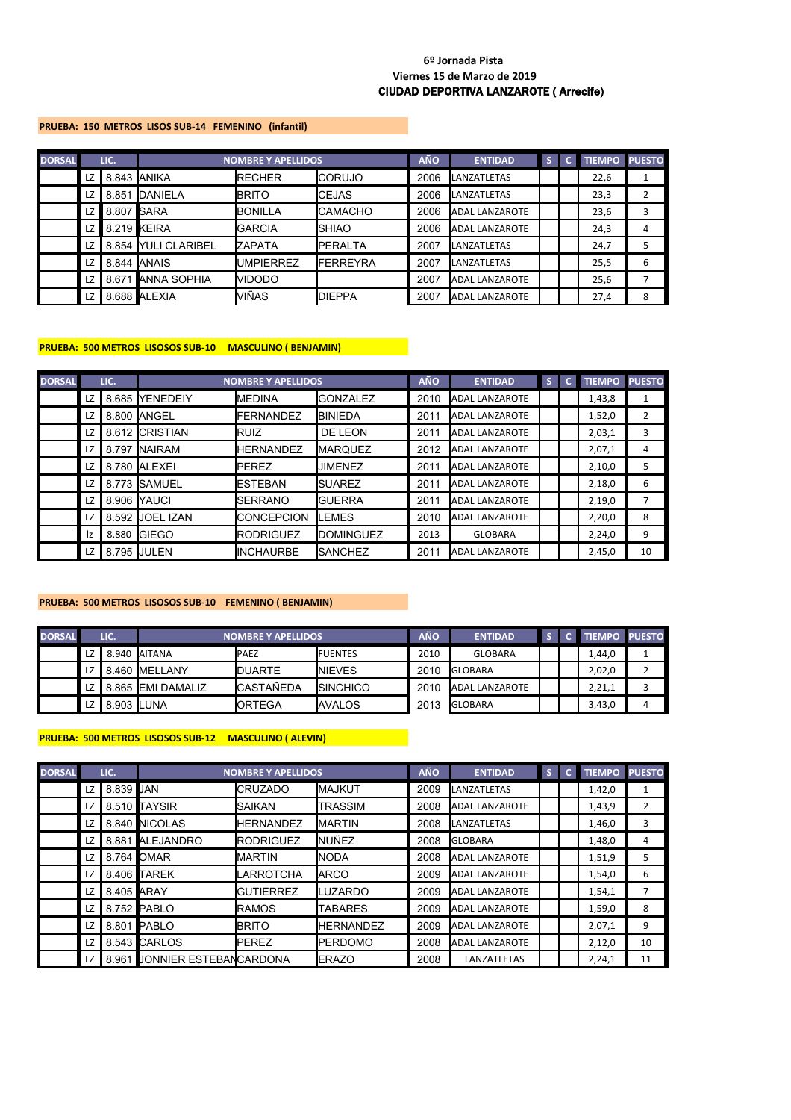#### **PRUEBA: 150 METROS LISOS SUB-14 FEMENINO (infantil)**

| <b>DORSAL</b> |    | LIC.       |                      | <b>NOMBRE Y APELLIDOS</b> |                  | <b>AÑO</b> | <b>ENTIDAD</b>        | s | <b>TIEMPO PUESTO</b> |   |
|---------------|----|------------|----------------------|---------------------------|------------------|------------|-----------------------|---|----------------------|---|
|               | LZ |            | 8.843 ANIKA          | <b>RECHER</b>             | <b>I</b> CORUJO  | 2006       | <b>LANZATLETAS</b>    |   | 22,6                 |   |
|               | LZ | 8.851      | <b>DANIELA</b>       | <b>I</b> BRITO            | <b>I</b> CEJAS   | 2006       | LANZATLETAS           |   | 23,3                 |   |
|               | LZ | 8.807 SARA |                      | <b>BONILLA</b>            | <b>CAMACHO</b>   | 2006       | <b>ADAL LANZAROTE</b> |   | 23,6                 | 3 |
|               | LZ |            | 8.219 KEIRA          | <b>IGARCIA</b>            | ISHIAO           | 2006       | <b>ADAL LANZAROTE</b> |   | 24,3                 | 4 |
|               | LZ | 8.854      | <b>YULI CLARIBEL</b> | <b>IZAPATA</b>            | <b>IPERALTA</b>  | 2007       | LANZATLETAS           |   | 24,7                 | 5 |
|               | LZ |            | 8.844 <b>ANAIS</b>   | <b>UMPIERREZ</b>          | <b>IFERREYRA</b> | 2007       | LANZATLETAS           |   | 25,5                 | 6 |
|               | LZ | 8.671      | <b>ANNA SOPHIA</b>   | <b>VIDODO</b>             |                  | 2007       | <b>ADAL LANZAROTE</b> |   | 25,6                 |   |
|               | LZ |            | 8.688 ALEXIA         | VIÑAS                     | <b>IDIEPPA</b>   | 2007       | <b>ADAL LANZAROTE</b> |   | 27,4                 | 8 |

#### **PRUEBA: 500 METROS LISOSOS SUB-10 MASCULINO ( BENJAMIN)**

| <b>DORSAL</b> |    | LIC.  |                  | <b>NOMBRE Y APELLIDOS</b> |                   | <b>AÑO</b> | <b>ENTIDAD</b>        | S. | c. | <b>TIEMPO</b> | <b>PUESTO</b> |
|---------------|----|-------|------------------|---------------------------|-------------------|------------|-----------------------|----|----|---------------|---------------|
|               | LZ | 8.685 | YENEDEIY         | <b>IMEDINA</b>            | IGONZALEZ         | 2010       | <b>ADAL LANZAROTE</b> |    |    | 1,43,8        | 1             |
|               | LZ | 8.800 | ANGEL            | <b>FERNANDEZ</b>          | <b>BINIEDA</b>    | 2011       | <b>ADAL LANZAROTE</b> |    |    | 1,52,0        | 2             |
|               | LZ |       | 8.612 CRISTIAN   | <b>IRUIZ</b>              | DE LEON           | 2011       | <b>ADAL LANZAROTE</b> |    |    | 2,03,1        | 3             |
|               | LZ |       | 8.797 INAIRAM    | <b>IHERNANDEZ</b>         | <b>IMARQUEZ</b>   | 2012       | <b>ADAL LANZAROTE</b> |    |    | 2,07,1        | 4             |
|               | LZ | 8.780 | ALEXEI           | <b>IPEREZ</b>             | <b>IJIMENEZ</b>   | 2011       | <b>ADAL LANZAROTE</b> |    |    | 2,10,0        | 5             |
|               | LZ | 8.773 | <b>ISAMUEL</b>   | <b>IESTEBAN</b>           | <b>I</b> SUAREZ   | 2011       | <b>ADAL LANZAROTE</b> |    |    | 2,18,0        | 6             |
|               | LZ | 8.906 | <b>YAUCI</b>     | <b>I</b> SERRANO          | <b>I</b> GUERRA   | 2011       | <b>ADAL LANZAROTE</b> |    |    | 2,19,0        |               |
|               | LZ | 8.592 | <b>JOEL IZAN</b> | <b>ICONCEPCION</b>        | <b>ILEMES</b>     | 2010       | <b>ADAL LANZAROTE</b> |    |    | 2,20,0        | 8             |
|               | Iz | 8.880 | <b>IGIEGO</b>    | <b>IRODRIGUEZ</b>         | <b>IDOMINGUEZ</b> | 2013       | <b>GLOBARA</b>        |    |    | 2,24,0        | 9             |
|               | LZ |       | 8.795 JULEN      | <b>IINCHAURBE</b>         | <b>I</b> SANCHEZ  | 2011       | <b>ADAL LANZAROTE</b> |    |    | 2,45,0        | 10            |

## **PRUEBA: 500 METROS LISOSOS SUB-10 FEMENINO ( BENJAMIN)**

| <b>DORSAL</b> |    | LIC.       |                          | <b>NOMBRE Y APELLIDOS</b> |                  | AÑO  | <b>ENTIDAD</b> |  | <b>TIEMPO PUESTO</b> |   |
|---------------|----|------------|--------------------------|---------------------------|------------------|------|----------------|--|----------------------|---|
|               | LZ |            | 8.940 AITANA             | <b>IPAEZ</b>              | <b>IFUENTES</b>  | 2010 | GLOBARA        |  | 1,44,0               |   |
|               | LZ |            | 8.460 MELLANY            | <b>IDUARTE</b>            | <b>INIEVES</b>   | 2010 | <b>GLOBARA</b> |  | 2,02,0               |   |
|               | LZ |            | 8.865 <b>EMI DAMALIZ</b> | <b>CASTAÑEDA</b>          | <b>ISINCHICO</b> | 2010 | ADAL LANZAROTE |  | 2,21,1               |   |
|               | LZ | 8.903 LUNA |                          | <b>IORTEGA</b>            | <b>AVALOS</b>    | 2013 | <b>GLOBARA</b> |  | 3,43,0               | 4 |

### **PRUEBA: 500 METROS LISOSOS SUB-12 MASCULINO ( ALEVIN)**

| <b>DORSAL</b> |    | LIC.       |                              | <b>NOMBRE Y APELLIDOS</b> |                  | <b>AÑO</b> | <b>ENTIDAD</b>        | S. | c | <b>TIEMPO</b> | <b>PUESTO</b> |
|---------------|----|------------|------------------------------|---------------------------|------------------|------------|-----------------------|----|---|---------------|---------------|
|               | LZ | 8.839 JAN  |                              | <b>I</b> CRUZADO          | <b>IMAJKUT</b>   | 2009       | LANZATLETAS           |    |   | 1,42,0        |               |
|               | LZ |            | 8.510 TAYSIR                 | ISAIKAN                   | ITRASSIM         | 2008       | <b>ADAL LANZAROTE</b> |    |   | 1,43,9        | 2             |
|               | LZ |            | 8.840 NICOLAS                | <b>HERNANDEZ</b>          | <b>IMARTIN</b>   | 2008       | <b>LANZATLETAS</b>    |    |   | 1,46,0        | 3             |
|               | LZ |            | 8.881 ALEJANDRO              | <b>IRODRIGUEZ</b>         | <b>INUÑEZ</b>    | 2008       | <b>GLOBARA</b>        |    |   | 1,48,0        | 4             |
|               | LZ |            | 8.764 OMAR                   | <b>I</b> MARTIN           | <b>INODA</b>     | 2008       | <b>ADAL LANZAROTE</b> |    |   | 1,51,9        | 5             |
|               | LZ |            | 8.406 TAREK                  | LARROTCHA                 | <b>IARCO</b>     | 2009       | <b>ADAL LANZAROTE</b> |    |   | 1,54,0        | 6             |
|               | LZ | 8.405 ARAY |                              | <b>GUTIERREZ</b>          | <b>ILUZARDO</b>  | 2009       | <b>ADAL LANZAROTE</b> |    |   | 1,54,1        | 7             |
|               | LZ |            | 8.752 PABLO                  | <b>IRAMOS</b>             | <b>TABARES</b>   | 2009       | <b>ADAL LANZAROTE</b> |    |   | 1,59,0        | 8             |
|               | LZ |            | 8.801 PABLO                  | <b>I</b> BRITO            | <b>HERNANDEZ</b> | 2009       | <b>ADAL LANZAROTE</b> |    |   | 2,07,1        | 9             |
|               | LZ |            | 8.543 CARLOS                 | <b>IPEREZ</b>             | <b>IPERDOMO</b>  | 2008       | <b>ADAL LANZAROTE</b> |    |   | 2,12,0        | 10            |
|               | LZ |            | 8.961 JONNIER ESTEBANCARDONA |                           | <b>IERAZO</b>    | 2008       | LANZATLETAS           |    |   | 2,24,1        | 11            |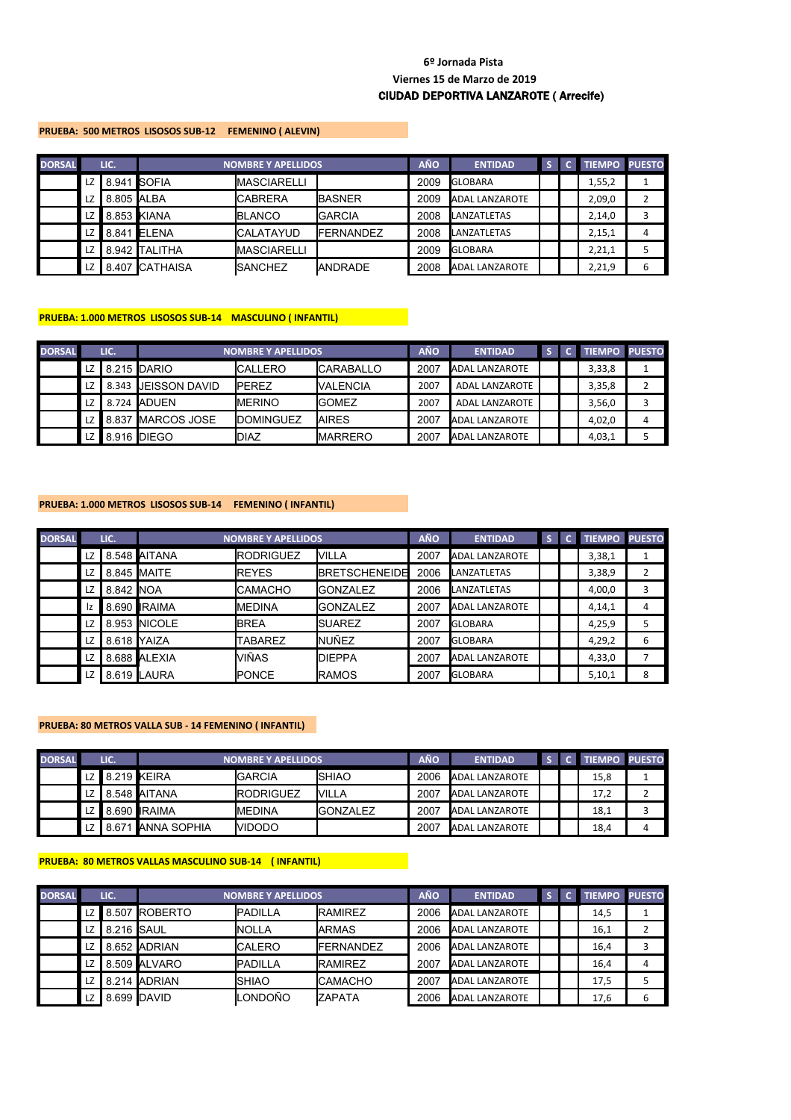#### **PRUEBA: 500 METROS LISOSOS SUB-12 FEMENINO ( ALEVIN)**

| <b>DORSAL</b> |      | LIC.        |                | <b>NOMBRE Y APELLIDOS</b> |                   | <b>AÑO</b> | <b>ENTIDAD</b>        |  | <b>TIEMPO PUESTO</b> |   |
|---------------|------|-------------|----------------|---------------------------|-------------------|------------|-----------------------|--|----------------------|---|
|               | LZ   | 8.941 SOFIA |                | <b>MASCIARELLI</b>        |                   | 2009       | <b>GLOBARA</b>        |  | 1,55,2               |   |
|               | LZ   | 8.805 ALBA  |                | <b>I</b> CABRERA          | <b>IBASNER</b>    | 2009       | <b>ADAL LANZAROTE</b> |  | 2,09,0               |   |
|               | LZ I | 8.853 KIANA |                | <b>BLANCO</b>             | IGARCIA           | 2008       | <b>LANZATLETAS</b>    |  | 2,14,0               |   |
|               | LZ I |             | 8.841 ELENA    | <b>I</b> CALATAYUD        | <b>IFERNANDEZ</b> | 2008       | LANZATLETAS           |  | 2,15,1               | 4 |
|               | LZ   |             | 8.942 TALITHA  | <b>MASCIARELLI</b>        |                   | 2009       | <b>GLOBARA</b>        |  | 2,21,1               |   |
|               | LZ   |             | 8.407 CATHAISA | <b>I</b> SANCHEZ          | <b>IANDRADE</b>   | 2008       | <b>ADAL LANZAROTE</b> |  | 2,21,9               | 6 |

#### **PRUEBA: 1.000 METROS LISOSOS SUB-14 MASCULINO ( INFANTIL)**

| <b>DORSAL</b> |      | LIC. |                      | <b>NOMBRE Y APELLIDOS</b> |                   | <b>AÑO</b> | <b>ENTIDAD</b>        |  | <b>TIEMPO PUESTO</b> |   |
|---------------|------|------|----------------------|---------------------------|-------------------|------------|-----------------------|--|----------------------|---|
|               | LZ I |      | 8.215 DARIO          | <b>ICALLERO</b>           | <b>ICARABALLO</b> | 2007       | <b>ADAL LANZAROTE</b> |  | 3,33,8               |   |
|               | LZ   |      | 8.343 IJEISSON DAVID | <b>IPEREZ</b>             | <b>NALENCIA</b>   | 2007       | ADAL LANZAROTE        |  | 3,35,8               |   |
|               | LZ   |      | 8.724 ADUEN          | <b>IMERINO</b>            | <b>IGOMEZ</b>     | 2007       | ADAL LANZAROTE        |  | 3,56,0               |   |
|               | LZ I |      | 8.837 MARCOS JOSE    | <b>IDOMINGUEZ</b>         | <b>IAIRES</b>     | 2007       | <b>ADAL LANZAROTE</b> |  | 4,02,0               | 4 |
|               | LZ I |      | 8.916 <b>I</b> DIEGO | IDIAZ                     | <b>IMARRERO</b>   | 2007       | <b>ADAL LANZAROTE</b> |  | 4,03,1               |   |

## **PRUEBA: 1.000 METROS LISOSOS SUB-14 FEMENINO ( INFANTIL)**

| <b>DORSAL</b> |    | LIC.              |               | <b>NOMBRE Y APELLIDOS</b> |                      | <b>AÑO</b> | <b>ENTIDAD</b>        | S | <b>TIEMPO PUESTO</b> |   |
|---------------|----|-------------------|---------------|---------------------------|----------------------|------------|-----------------------|---|----------------------|---|
|               | LZ |                   | 8.548 AITANA  | <b>RODRIGUEZ</b>          | <b>VILLA</b>         | 2007       | <b>ADAL LANZAROTE</b> |   | 3,38,1               |   |
|               | LZ |                   | 8.845 MAITE   | <b>REYES</b>              | <b>BRETSCHENEIDE</b> | 2006       | <b>LANZATLETAS</b>    |   | 3,38,9               |   |
|               | LZ | 8.842 <b>INOA</b> |               | <b>CAMACHO</b>            | <b>I</b> GONZALEZ    | 2006       | LANZATLETAS           |   | 4,00,0               | 3 |
|               | Ιz |                   | 8.690 IRAIMA  | <b>MEDINA</b>             | <b>I</b> GONZALEZ    | 2007       | <b>ADAL LANZAROTE</b> |   | 4,14,1               | 4 |
|               | LZ |                   | 8.953 INICOLE | <b>BREA</b>               | <b>SUAREZ</b>        | 2007       | <b>GLOBARA</b>        |   | 4,25,9               | 5 |
|               | LZ | 8.618 YAIZA       |               | <b>TABAREZ</b>            | <b>NUÑEZ</b>         | 2007       | <b>GLOBARA</b>        |   | 4,29,2               | 6 |
|               | LZ |                   | 8.688 ALEXIA  | VIÑAS                     | <b>IDIEPPA</b>       | 2007       | <b>ADAL LANZAROTE</b> |   | 4,33,0               | 7 |
|               | LZ |                   | 8.619 LAURA   | PONCE                     | <b>IRAMOS</b>        | 2007       | <b>GLOBARA</b>        |   | 5,10,1               | 8 |

### **PRUEBA: 80 METROS VALLA SUB - 14 FEMENINO ( INFANTIL)**

| <b>DORSAL</b> | LIC.           |                         | <b>NOMBRE Y APELLIDOS</b> |                  | <b>AÑO</b> | <b>ENTIDAD</b>        |  | <b>TIEMPO PUESTO</b> |  |
|---------------|----------------|-------------------------|---------------------------|------------------|------------|-----------------------|--|----------------------|--|
|               | LZ 8.219 KEIRA |                         | <b>I</b> GARCIA           | <b>ISHIAO</b>    | 2006       | ADAL LANZAROTE        |  | 15,8                 |  |
|               |                | LZ $\vert$ 8.548 AITANA | <b>IRODRIGUEZ</b>         | <b>NILLA</b>     | 2007       | <b>ADAL LANZAROTE</b> |  | 17,2                 |  |
|               |                | LZ 8.690 RAIMA          | IMEDINA                   | <b>IGONZALEZ</b> | 2007       | ADAL LANZAROTE        |  | 18,1                 |  |
|               |                | 8.671 ANNA SOPHIA       | <b>NIDODO</b>             |                  | 2007       | ADAL LANZAROTE        |  | 18,4                 |  |

#### **PRUEBA: 80 METROS VALLAS MASCULINO SUB-14 ( INFANTIL)**

| <b>DORSAL</b> |      | LIC.       |               | <b>NOMBRE Y APELLIDOS</b> |                   | <b>AÑO</b> | <b>ENTIDAD</b>        |  | <b>TIEMPO</b> | <b>PUESTO</b> |
|---------------|------|------------|---------------|---------------------------|-------------------|------------|-----------------------|--|---------------|---------------|
|               | LZ I |            | 8.507 ROBERTO | <b>IPADILLA</b>           | <b>IRAMIREZ</b>   | 2006       | <b>ADAL LANZAROTE</b> |  | 14,5          |               |
|               | LZ   | 8.216 SAUL |               | <b>INOLLA</b>             | <b>IARMAS</b>     | 2006       | ADAL LANZAROTE        |  | 16,1          |               |
|               | LZ   |            | 8.652 ADRIAN  | <b>CALERO</b>             | <b>IFERNANDEZ</b> | 2006       | <b>ADAL LANZAROTE</b> |  | 16,4          |               |
|               | LZ   |            | 8.509 ALVARO  | <b>PADILLA</b>            | <b>IRAMIREZ</b>   | 2007       | <b>ADAL LANZAROTE</b> |  | 16,4          | 4             |
|               | LZ   |            | 8.214 ADRIAN  | <b>SHIAO</b>              | <b>ICAMACHO</b>   | 2007       | <b>ADAL LANZAROTE</b> |  | 17,5          |               |
|               | LZ   |            | 8.699 DAVID   | LONDOÑO                   | <b>ZAPATA</b>     | 2006       | <b>ADAL LANZAROTE</b> |  | 17,6          | 6             |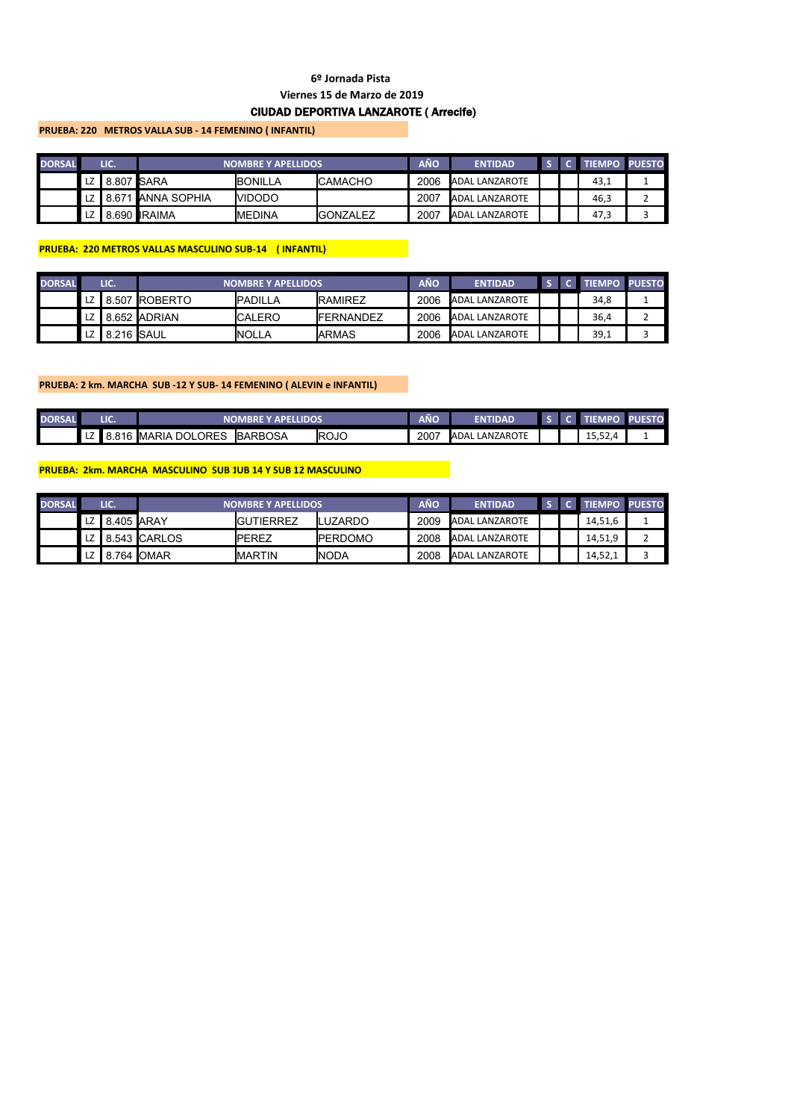## **PRUEBA: 220 METROS VALLA SUB - 14 FEMENINO ( INFANTIL)**

| <b>DORSAL</b> |      | LIC.       |                    | <b>NOMBRE Y APELLIDOS</b> |                  | AÑO  | <b>ENTIDAD</b>        |  | <b>TIEMPO PUESTO</b> |  |
|---------------|------|------------|--------------------|---------------------------|------------------|------|-----------------------|--|----------------------|--|
|               | LZ I | 8.807 SARA |                    | <b>BONILLA</b>            | <b>ICAMACHO</b>  | 2006 | <b>ADAL LANZAROTE</b> |  | 43,⊥                 |  |
|               | LZ I |            | 8.671 LANNA SOPHIA | <b>NIDODO</b>             |                  | 2007 | <b>ADAL LANZAROTE</b> |  | 46,3                 |  |
|               | LZ I |            | 8.690 RAIMA        | <b>I</b> MEDINA           | <b>IGONZALEZ</b> | 2007 | <b>ADAL LANZAROTE</b> |  | 47,3                 |  |

## **PRUEBA: 220 METROS VALLAS MASCULINO SUB-14 ( INFANTIL)**

| <b>DORSAL</b> |      | LIC.          |                    | <b>NOMBRE Y APELLIDOS</b> |                   | AÑO  | <b>ENTIDAD</b>        |  | <b>TIFMPO</b> | <b>PUESTO</b> |
|---------------|------|---------------|--------------------|---------------------------|-------------------|------|-----------------------|--|---------------|---------------|
|               |      |               | LZ   8.507 ROBERTO | <b>IPADILLA</b>           | <b>IRAMIREZ</b>   | 2006 | ADAL LANZAROTE        |  | 34,8          |               |
|               | LZ I |               | 8.652 ADRIAN       | <b>CALERO</b>             | <b>IFERNANDEZ</b> | 2006 | <b>ADAL LANZAROTE</b> |  | 36,4          |               |
|               |      | LZ 8.216 SAUL |                    | <b>INOLLA</b>             | <b>IARMAS</b>     | 2006 | ADAL LANZAROTE        |  | 39,1          |               |

### **PRUEBA: 2 km. MARCHA SUB -12 Y SUB- 14 FEMENINO ( ALEVIN e INFANTIL)**

| <b>DORSAL</b> | LIC.       |                          | <b>NOMBRE Y APELLIDOS</b> |             | AÑO  | <b>ENTIDAD</b>        |  | <b>AEMPO</b>           | <b>PUESTO</b> |
|---------------|------------|--------------------------|---------------------------|-------------|------|-----------------------|--|------------------------|---------------|
|               | LZ $8.816$ | ` <b>I</b> MARIA DOLORES | <b>BARBOSA</b>            | <b>ROJO</b> | 2007 | <b>ADAL LANZAROTE</b> |  | r n<br>1 C<br>, ے بی ب |               |

## **PRUEBA: 2km. MARCHA MASCULINO SUB 1UB 14 Y SUB 12 MASCULINO**

| <b>DORSAL</b> |    | LIC.               |                    | <b>INOMBRE Y APELLIDOS</b> |                 | AÑO  | <b>ENTIDAD</b> |  | <b>TIEMPO PUESTO</b> |  |
|---------------|----|--------------------|--------------------|----------------------------|-----------------|------|----------------|--|----------------------|--|
|               | LZ | 8.405 <b>JARAY</b> |                    | <b>IGUTIERREZ</b>          | <b>ILUZARDO</b> | 2009 | ADAL LANZAROTE |  | 14,51,6              |  |
|               | LZ |                    | 8.543 CARLOS       | <b>IPEREZ</b>              | <b>IPERDOMO</b> | 2008 | ADAL LANZAROTE |  | 14,51,9              |  |
|               | LZ | 8                  | .764 <b>I</b> OMAR | <b>I</b> MARTIN            | <b>INODA</b>    | 2008 | ADAL LANZAROTE |  | 14,52,1              |  |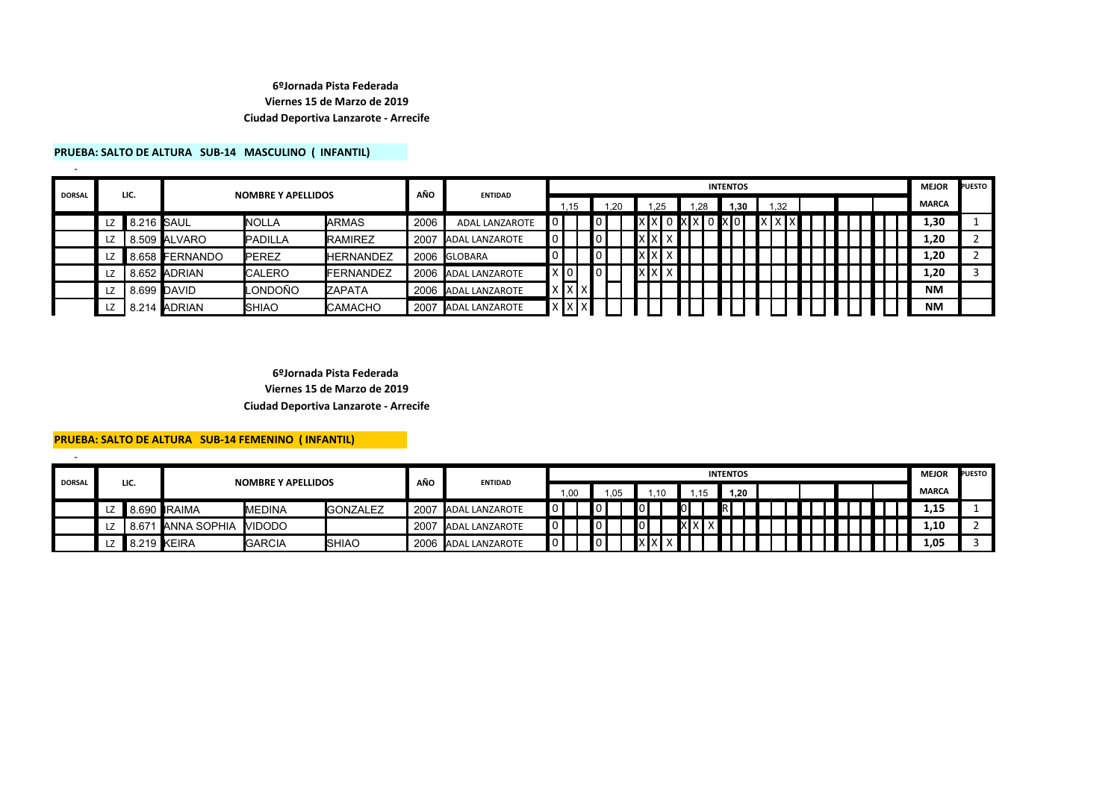### **PRUEBA: SALTO DE ALTURA SUB-14 MASCULINO ( INFANTIL)**

| <b>DORSAL</b> |    | LIC.       |                | <b>NOMBRE Y APELLIDOS</b> |                  | AÑO  | <b>ENTIDAD</b>        |             |     |     |  |     |          | <b>INTENTOS</b> |            |     |  |  |  | <b>MEJOR</b> | <b>PUESTO</b> |
|---------------|----|------------|----------------|---------------------------|------------------|------|-----------------------|-------------|-----|-----|--|-----|----------|-----------------|------------|-----|--|--|--|--------------|---------------|
|               |    |            |                |                           |                  |      |                       |             | .15 | .20 |  | .25 | 1.28     | 1.30            |            | .32 |  |  |  | <b>MARCA</b> |               |
|               | LZ | 8.216 SAUL |                | <b>NOLLA</b>              | <b>IARMAS</b>    | 2006 | <b>ADAL LANZAROTE</b> |             |     |     |  |     | I XIXI O | xlo I           | <b>x</b> x |     |  |  |  | 1,30         |               |
|               | LZ |            | 8.509 ALVARO   | PADILLA                   | <b>IRAMIREZ</b>  | 2007 | <b>ADAL LANZAROTE</b> | 0           |     |     |  |     |          |                 |            |     |  |  |  | 1,20         |               |
|               | LZ |            | 8.658 FERNANDO | PEREZ                     | HERNANDEZ        |      | 2006 GLOBARA          |             |     |     |  |     |          |                 |            |     |  |  |  | 1,20         |               |
|               | LZ |            | 8.652 ADRIAN   | <b>CALERO</b>             | <b>FERNANDEZ</b> |      | 2006 ADAL LANZAROTE   | X[0]        |     |     |  |     |          |                 |            |     |  |  |  | 1,20         |               |
|               | LZ |            | 8.699 DAVID    | ONDOÑO.                   | <b>ZAPATA</b>    |      | 2006 ADAL LANZAROTE   | Ix Ix I x I |     |     |  |     |          |                 |            |     |  |  |  | <b>NM</b>    |               |
|               | LZ |            | 214 ADRIAN     | <b>SHIAO</b>              | <b>I</b> CAMACHO | 2007 | <b>ADAL LANZAROTE</b> | x Ix'       |     |     |  |     |          |                 |            |     |  |  |  | <b>NM</b>    |               |

### **6ºJornada Pista Federada Viernes 15 de Marzo de 2019 Ciudad Deportiva Lanzarote - Arrecife**

#### **PRUEBA: SALTO DE ALTURA SUB-14 FEMENINO ( INFANTIL)**

-

| <b>DORSAL</b> |    |       |                     | <b>NOMBRE Y APELLIDOS</b> |                  | AÑO  | <b>ENTIDAD</b>        |   |     |     |                |             |       | <b>INTENTOS</b> |  |  |  |  | <b>MEJOR</b> | <b>PUESTO</b> |
|---------------|----|-------|---------------------|---------------------------|------------------|------|-----------------------|---|-----|-----|----------------|-------------|-------|-----------------|--|--|--|--|--------------|---------------|
|               |    | LIC.  |                     |                           |                  |      |                       |   | .00 | .05 |                | .10         | .15   | 1.20            |  |  |  |  | <b>MARCA</b> |               |
|               | LZ |       | 8.690 <b>IRAIMA</b> | <b>IMEDINA</b>            | <b>IGONZALEZ</b> | 2007 | <b>ADAL LANZAROTE</b> | 0 |     |     | $\blacksquare$ |             |       |                 |  |  |  |  | 1,15         |               |
|               |    | 8.671 | I LANNA SOPHIA      | <b>NIDODO</b>             |                  | ،200 | <b>ADAL LANZAROTE</b> |   |     |     | $\blacksquare$ |             | X X X |                 |  |  |  |  | 1,10         |               |
|               | ᇿ  | II 8. | ∖.219 <b>∦</b> EIRA | <b>IGARCIA</b>            | <b>I</b> SHIAO   | 2006 | <b>ADAL LANZAROTE</b> | 0 |     |     |                | <b>XXXX</b> |       |                 |  |  |  |  | 1,05         |               |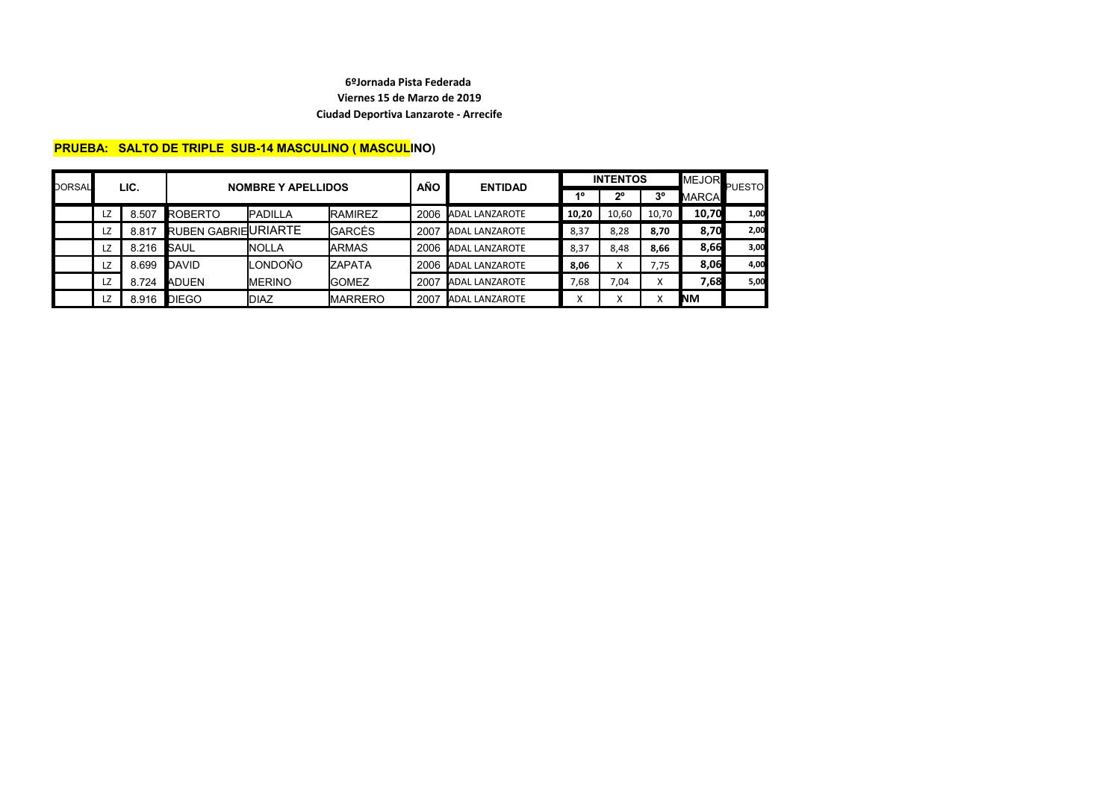# **PRUEBA: SALTO DE TRIPLE SUB-14 MASCULINO ( MASCULINO)**

| DORSAL | LIC. |       | <b>NOMBRE Y APELLIDOS</b>  |                 |                | <b>AÑO</b> | <b>ENTIDAD</b>         |       | <b>INTENTOS</b> | <b>MEJOR</b>   | <b>PUESTO</b> |      |
|--------|------|-------|----------------------------|-----------------|----------------|------------|------------------------|-------|-----------------|----------------|---------------|------|
|        |      |       |                            |                 |                |            |                        | 40    | $2^{\circ}$     | 3 <sup>o</sup> | <b>MARCA</b>  |      |
|        | LZ   | 8.507 | ROBERTO                    | <b>IPADILLA</b> | <b>RAMIREZ</b> | 2006       | <b>JADAL LANZAROTE</b> | 10,20 | 10.60           | 10,70          | 10,70         | 1,00 |
|        | LZ   | 8.817 | <b>RUBEN GABRIEURIARTE</b> |                 | <b>GARCÉS</b>  | 2007       | <b>ADAL LANZAROTE</b>  | 8,37  | 8,28            | 8.70           | 8,70          | 2,00 |
|        | LZ   | 8.216 | <b>SAUL</b>                | <b>I</b> NOLLA  | <b>IARMAS</b>  | 2006       | <b>JADAL LANZAROTE</b> | 8,37  | 8.48            | 8.66           | 8,66          | 3,00 |
|        | LZ   | 8.699 | DAVID                      | LONDOÑO         | <b>ZAPATA</b>  | 2006       | <b>JADAL LANZAROTE</b> | 8,06  | Χ               | 7.75           | 8,06          | 4,00 |
|        | LZ   | 8.724 | <b>ADUEN</b>               | <b>IMERINO</b>  | <b>I</b> GOMEZ | 2007       | <b>ADAL LANZAROTE</b>  | 7,68  | 7.04            | x              | 7,68          | 5,00 |
|        | LZ   | 8.916 | <b>DIEGO</b>               | <b>DIAZ</b>     | <b>MARRERO</b> | 2007       | <b>JADAL LANZAROTE</b> |       | $\checkmark$    |                | <b>INM</b>    |      |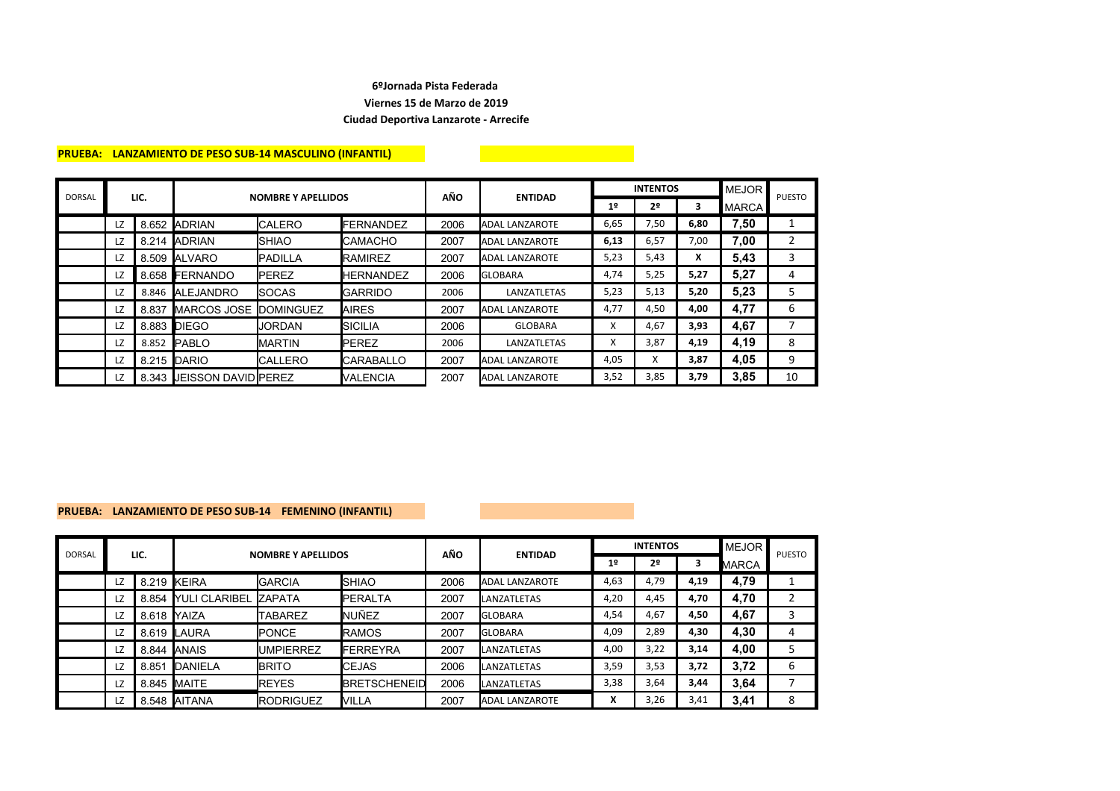### **PRUEBA: LANZAMIENTO DE PESO SUB-14 MASCULINO (INFANTIL)**

| <b>DORSAL</b> | LIC. |       | <b>NOMBRE Y APELLIDOS</b>  |                  |                   | AÑO  | <b>ENTIDAD</b>        |      | <b>INTENTOS</b> |      | <b>MEJOR</b> | <b>PUESTO</b> |
|---------------|------|-------|----------------------------|------------------|-------------------|------|-----------------------|------|-----------------|------|--------------|---------------|
|               |      |       |                            |                  |                   |      |                       | 1º   | 2 <sup>o</sup>  | 3    | <b>MARCA</b> |               |
|               | LZ   | 8.652 | <b>ADRIAN</b>              | <b>CALERO</b>    | <b>IFERNANDEZ</b> | 2006 | <b>ADAL LANZAROTE</b> | 6,65 | 7,50            | 6,80 | 7,50         |               |
|               | LZ   | 8.214 | <b>ADRIAN</b>              | <b>SHIAO</b>     | ICAMACHO          | 2007 | <b>ADAL LANZAROTE</b> | 6,13 | 6,57            | 7,00 | 7,00         | 2             |
|               | LZ   | 8.509 | <b>IALVARO</b>             | <b>PADILLA</b>   | <b>IRAMIREZ</b>   | 2007 | <b>ADAL LANZAROTE</b> | 5,23 | 5,43            | X    | 5,43         | 3             |
|               | LZ   |       | 8.658 FERNANDO             | <b>PEREZ</b>     | <b>HERNANDEZ</b>  | 2006 | <b>GLOBARA</b>        | 4,74 | 5,25            | 5,27 | 5,27         | 4             |
|               | LZ   | 8.846 | <b>ALEJANDRO</b>           | <b>SOCAS</b>     | <b>I</b> GARRIDO  | 2006 | LANZATLETAS           | 5,23 | 5,13            | 5,20 | 5,23         | 5             |
|               | LZ   | 8.837 | <b>IMARCOS JOSE</b>        | <b>DOMINGUEZ</b> | <b>AIRES</b>      | 2007 | <b>ADAL LANZAROTE</b> | 4,77 | 4,50            | 4,00 | 4,77         | 6             |
|               | LZ   |       | 8.883 DIEGO                | <b>JORDAN</b>    | ISICILIA          | 2006 | <b>GLOBARA</b>        | X    | 4,67            | 3,93 | 4,67         |               |
|               | LZ   | 8.852 | <b>IPABLO</b>              | <b>MARTIN</b>    | <b>IPEREZ</b>     | 2006 | LANZATLETAS           | x    | 3,87            | 4,19 | 4,19         | 8             |
|               | LZ   |       | 8.215 DARIO                | <b>CALLERO</b>   | <b>ICARABALLO</b> | 2007 | <b>ADAL LANZAROTE</b> | 4,05 | x               | 3,87 | 4.05         | 9             |
|               | LZ   |       | 8.343 IJEISSON DAVIDIPEREZ |                  | <b>IVALENCIA</b>  | 2007 | <b>ADAL LANZAROTE</b> | 3,52 | 3,85            | 3,79 | 3,85         | 10            |

### **PRUEBA: LANZAMIENTO DE PESO SUB-14 FEMENINO (INFANTIL)**

| <b>DORSAL</b> | LIC. |       | <b>NOMBRE Y APELLIDOS</b> |                  |                      | AÑO  |                       |                | <b>INTENTOS</b> | <b>MEJOR</b> | <b>PUESTO</b> |   |
|---------------|------|-------|---------------------------|------------------|----------------------|------|-----------------------|----------------|-----------------|--------------|---------------|---|
|               |      |       |                           |                  |                      |      | <b>ENTIDAD</b>        | 1 <sup>°</sup> | 2 <sup>0</sup>  |              | <b>MARCA</b>  |   |
|               | LZ   | 8.219 | KEIRA                     | <b>GARCIA</b>    | <b>I</b> SHIAO       | 2006 | <b>ADAL LANZAROTE</b> | 4,63           | 4,79            | 4,19         | 4,79          |   |
|               | LZ   |       | 8.854 YULI CLARIBEL       | <b>ZAPATA</b>    | <b>IPERALTA</b>      | 2007 | <b>LANZATLETAS</b>    | 4,20           | 4,45            | 4,70         | 4,70          |   |
|               | LZ   | 8.618 | <b>IYAIZA</b>             | TABAREZ          | <b>I</b> NUÑEZ       | 2007 | <b>GLOBARA</b>        | 4,54           | 4,67            | 4,50         | 4,67          | 3 |
|               | LZ   | 8.619 | <b>LAURA</b>              | <b>PONCE</b>     | <b>RAMOS</b>         | 2007 | <b>GLOBARA</b>        | 4,09           | 2,89            | 4,30         | 4,30          | 4 |
|               | LZ   |       | 8.844 <b>JANAIS</b>       | <b>UMPIERREZ</b> | <b>IFERREYRA</b>     | 2007 | <b>LANZATLETAS</b>    | 4,00           | 3,22            | 3,14         | 4,00          | 5 |
|               | LZ   | 8.851 | <b>IDANIELA</b>           | <b>BRITO</b>     | <b>I</b> CEJAS       | 2006 | <b>LANZATLETAS</b>    | 3,59           | 3,53            | 3,72         | 3,72          | 6 |
|               | LZ   | 8.845 | <b>MAITE</b>              | <b>REYES</b>     | <b>IBRETSCHENEID</b> | 2006 | <b>LANZATLETAS</b>    | 3,38           | 3,64            | 3,44         | 3,64          |   |
|               | LZ   | 8.548 | <b>AITANA</b>             | <b>RODRIGUEZ</b> | IVILLA               | 2007 | <b>ADAL LANZAROTE</b> | v<br>Λ         | 3,26            | 3,41         | 3.41          | 8 |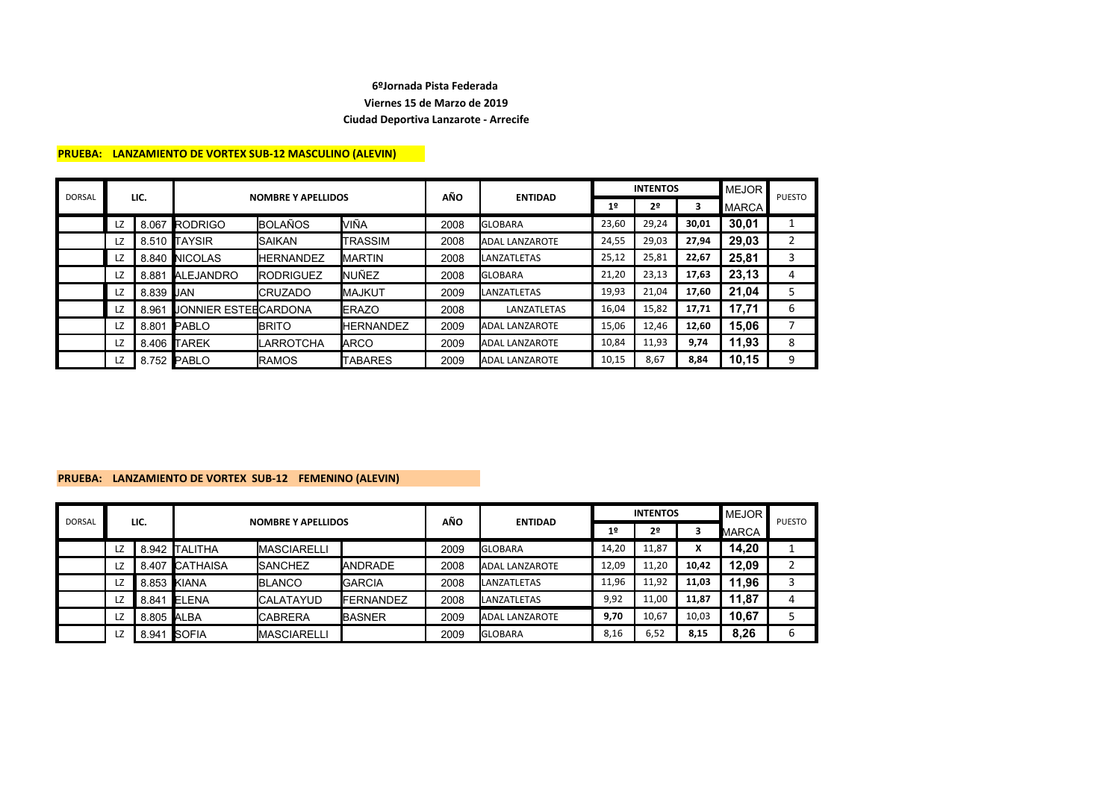#### **PRUEBA: LANZAMIENTO DE VORTEX SUB-12 MASCULINO (ALEVIN)**

| <b>DORSAL</b> | LIC. |                  | <b>NOMBRE Y APELLIDOS</b> |                  |                  | AÑO  |                       |                | <b>INTENTOS</b> | MEJOR |              |               |
|---------------|------|------------------|---------------------------|------------------|------------------|------|-----------------------|----------------|-----------------|-------|--------------|---------------|
|               |      |                  |                           |                  |                  |      | <b>ENTIDAD</b>        | 1 <sup>°</sup> | 2º              | 3     | <b>MARCA</b> | <b>PUESTO</b> |
|               | LZ   | 8.067            | RODRIGO                   | <b>BOLAÑOS</b>   | <b>VIÑA</b>      | 2008 | <b>GLOBARA</b>        | 23,60          | 29,24           | 30,01 | 30,01        |               |
|               | LZ   |                  | 8.510 TAYSIR              | <b>SAIKAN</b>    | TRASSIM          | 2008 | <b>ADAL LANZAROTE</b> | 24,55          | 29,03           | 27,94 | 29,03        | 2             |
|               | LZ   |                  | 8.840 NICOLAS             | <b>HERNANDEZ</b> | <b>IMARTIN</b>   | 2008 | LANZATLETAS           | 25,12          | 25,81           | 22,67 | 25,81        | 3             |
|               | LZ   | 8.881            | ALEJANDRO                 | <b>RODRIGUEZ</b> | <b>I</b> NUÑEZ   | 2008 | <b>GLOBARA</b>        | 21,20          | 23,13           | 17,63 | 23,13        | 4             |
|               | LZ   | 8.839 <b>JAN</b> |                           | <b>CRUZADO</b>   | <b>IMAJKUT</b>   | 2009 | <b>LANZATLETAS</b>    | 19,93          | 21,04           | 17,60 | 21,04        | 5             |
|               | LZ   | 8.961            | JONNIER ESTEECARDONA      |                  | <b>IERAZO</b>    | 2008 | LANZATLETAS           | 16,04          | 15,82           | 17,71 | 17,71        | 6             |
|               | LZ   | 8.801            | PABLO                     | <b>BRITO</b>     | <b>HERNANDEZ</b> | 2009 | <b>ADAL LANZAROTE</b> | 15,06          | 12,46           | 12,60 | 15,06        |               |
|               | LZ   | 8.406            | <b>TAREK</b>              | LARROTCHA        | <b>ARCO</b>      | 2009 | ADAL LANZAROTE        | 10,84          | 11,93           | 9,74  | 11,93        | 8             |
|               | LZ   |                  | 8.752 PABLO               | <b>RAMOS</b>     | <b>TABARES</b>   | 2009 | <b>ADAL LANZAROTE</b> | 10,15          | 8,67            | 8,84  | 10,15        | 9             |

#### **PRUEBA: LANZAMIENTO DE VORTEX SUB-12 FEMENINO (ALEVIN)**

|               | LIC. |            |                           |                    |                   | AÑO  | <b>ENTIDAD</b>        |       | <b>INTENTOS</b> | <b>MEJOR</b> | <b>PUESTO</b> |                    |
|---------------|------|------------|---------------------------|--------------------|-------------------|------|-----------------------|-------|-----------------|--------------|---------------|--------------------|
| <b>DORSAL</b> |      |            | <b>NOMBRE Y APELLIDOS</b> |                    |                   |      |                       | 1º    | 2º              |              | MARCA         |                    |
|               | LZ   |            | 8.942 TALITHA             | <b>MASCIARELLI</b> |                   | 2009 | <b>GLOBARA</b>        | 14,20 | 11,87           | v            | 14,20         |                    |
|               | LZ   |            | 8.407 CATHAISA            | <b>SANCHEZ</b>     | <b>IANDRADE</b>   | 2008 | <b>ADAL LANZAROTE</b> | 12,09 | 11,20           | 10,42        | 12,09         | $\mathcal{D}$<br>▵ |
|               | LZ   |            | 8.853 KIANA               | <b>BLANCO</b>      | <b>IGARCIA</b>    | 2008 | <b>LANZATLETAS</b>    | 11,96 | 11,92           | 11,03        | 11,96         | 3                  |
|               | LZ   | 8.841      | ELENA                     | <b>CALATAYUD</b>   | <b>IFERNANDEZ</b> | 2008 | <b>LANZATLETAS</b>    | 9,92  | 11,00           | 11,87        | 11,87         | 4                  |
|               | LZ   | 8.805 ALBA |                           | <b>CABRERA</b>     | <b>IBASNER</b>    | 2009 | <b>ADAL LANZAROTE</b> | 9,70  | 10,67           | 10,03        | 10,67         |                    |
|               | LZ   | 8.941      | <b>SOFIA</b>              | <b>MASCIARELLI</b> |                   | 2009 | <b>GLOBARA</b>        | 8,16  | 6.52            | 8,15         | 8,26          | 6                  |